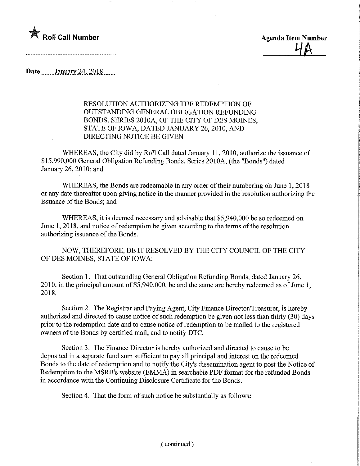

 $4A$ 

Date January 24, 2018

## RESOLUTION AUTHORIZING THE REDEMPTION OF OUTSTANDING GENERAL OBLIGATION REFUNDING BONDS, SERIES 2010A, OF THE CITY OF DES MOINES, STATE OF IOWA, DATED JANUARY 26, 2010, AND DIRECTING NOTICE BE GIVEN

WHEREAS, the City did by Roll Call dated January 11, 2010, authorize the issuance of \$15,990,000 General Obligation Refunding Bonds, Series 2010A, (the "Bonds") dated January 26, 2010; and

WHEREAS, the Bonds are redeemable in any order of their numbering on June 1, 2018 or any date thereafter upon giving notice in the manner provided in the resolution authorizing the issuance of the Bonds; and

WHEREAS, it is deemed necessary and advisable that \$5,940,000 be so redeemed on June 1, 2018, and notice of redemption be given according to the terms of the resolution authorizing issuance of the Bonds.

NOW, THEREFORE, BE IT RESOLVED BY THE CITY COUNCIL OF THE CITY OF DES MOINES, STATE OF IOWA:

Section 1. That outstanding General Obligation Refunding Bonds, dated January 26, 2010, in the principal amount of \$5,940,000, be and the same are hereby redeemed as of June 1, 2018.

Section 2. The Registrar and Paying Agent, City Finance Director/Treasurer, is hereby authorized and directed to cause notice of such redemption be given not less than thirty (30) days prior to the redemption date and to cause notice of redemption to be mailed to the registered owners of the Bonds by certified mail, and to notify DTC.

Section 3. The Finance Director is hereby authorized and directed to cause to be deposited in a separate fund sum sufficient to pay all principal and interest on the redeemed Bonds to the date of redemption and to notify the City's dissemination agent to post the Notice of Redemption to the MSRB's website (EMMA) in searchable PDF format for the refunded Bonds in accordance with the Continuing Disclosure Certificate for the Bonds.

Section 4. That the form of such notice be substantially as follows: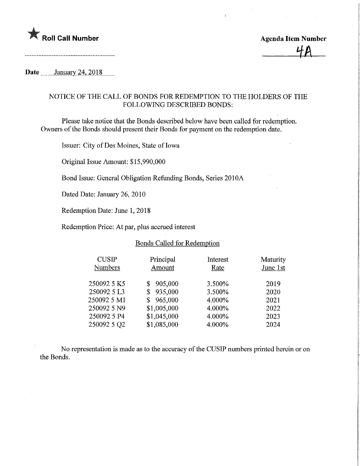

## Date \_\_\_\_\_\_ January 24, 2018.\_\_\_\_

## NOTICE OF THE CALL OF BONDS FOR REDEMPTION TO THE HOLDERS OF THE FOLLOWING DESCRIBED BONDS:

Please take notice that the Bonds described below have been called for redemption. Owners of the Bonds should present their Bonds for payment on the redemption date.

Issuer: City of Des Moines, State of Iowa

Original Issue Amount: \$15,990,000

Bond Issue: General Obligation Refunding Bonds, Series 2010A

Dated Date: January 26, 2010

Redemption Date: June 1, 2018

Redemption Price: At par, plus accrued interest

## Bonds Called for Redemption

| <b>CUSIP</b><br><b>Numbers</b> | Principal<br>Amount | Interest<br>Rate | Maturity<br>June 1st |
|--------------------------------|---------------------|------------------|----------------------|
| 250092 5 K5                    | 905,000<br>S        | 3.500%           | 2019                 |
| 250092 5 L3                    | 935,000<br>S        | 3.500%           | 2020                 |
| 250092 5 M1                    | 965,000<br>\$       | 4.000%           | 2021                 |
| 250092 5 N9                    | \$1,005,000         | 4.000%           | 2022                 |
| 250092 5 P4                    | \$1,045,000         | 4.000%           | 2023                 |
| 250092 5 Q2                    | \$1,085,000         | 4.000%           | 2024                 |

No representation is made as to the accuracy of the CUSIP numbers printed herein or on the Bonds.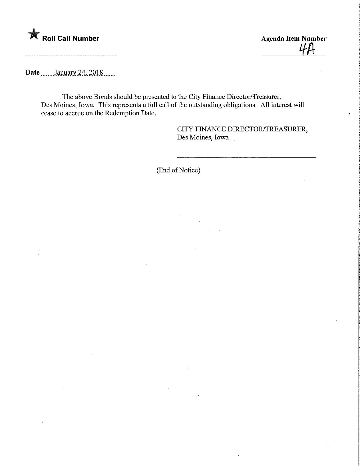

Roll Call Number Agenda Item Number Agenda Item Number

Date **........January 24, 2018** 

The above Bonds should be presented to the City Finance Director/Treasurer, Des Moines, Iowa. This represents a full call of the outstanding obligations. All interest will cease to accrue on the Redemption Date.

> CITY FINANCE DIRECTOR/TREASURER, Des Moines, Iowa

(End of Notice)